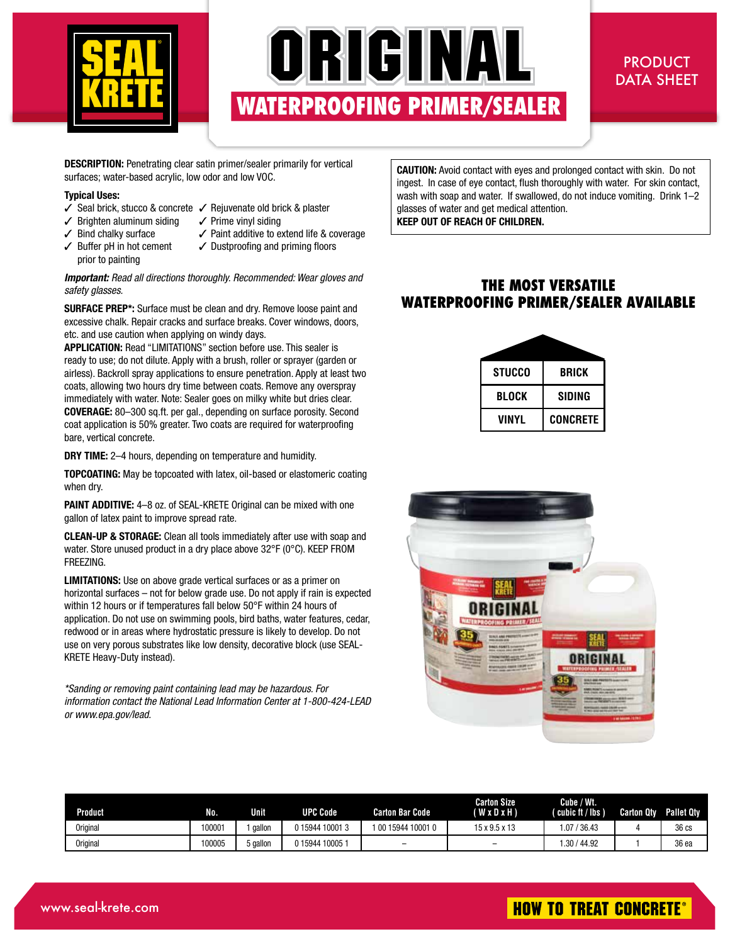

# ORIGINAL **WATERPROOFING PRIMER WATERPROOFING PRIMER//SEALER SEALER**

## PRODUCT DATA SHEET

**DESCRIPTION:** Penetrating clear satin primer/sealer primarily for vertical surfaces; water-based acrylic, low odor and low VOC.

#### **Typical Uses:**

- $\checkmark$  Seal brick, stucco & concrete  $\checkmark$  Rejuvenate old brick & plaster
- $\angle$  Brighten aluminum siding  $\angle$  Prime vinyl siding
- 
- $\checkmark$  Bind chalky surface  $\checkmark$  Paint additive to extend life & coverage
- prior to painting
- $\checkmark$  Buffer pH in hot cement  $\checkmark$  Dustproofing and priming floors

#### *Important: Read all directions thoroughly. Recommended: Wear gloves and safety glasses.*

**SURFACE PREP\*:** Surface must be clean and dry. Remove loose paint and excessive chalk. Repair cracks and surface breaks. Cover windows, doors, etc. and use caution when applying on windy days.

**APPLICATION:** Read "LIMITATIONS" section before use. This sealer is ready to use; do not dilute. Apply with a brush, roller or sprayer (garden or airless). Backroll spray applications to ensure penetration. Apply at least two coats, allowing two hours dry time between coats. Remove any overspray immediately with water. Note: Sealer goes on milky white but dries clear. **COVERAGE:** 80–300 sq.ft. per gal., depending on surface porosity. Second coat application is 50% greater. Two coats are required for waterproofing bare, vertical concrete.

**DRY TIME:** 2–4 hours, depending on temperature and humidity.

**TOPCOATING:** May be topcoated with latex, oil-based or elastomeric coating when dry.

**PAINT ADDITIVE:** 4-8 oz. of SEAL-KRETE Original can be mixed with one gallon of latex paint to improve spread rate.

**CLEAN-UP & STORAGE:** Clean all tools immediately after use with soap and water. Store unused product in a dry place above 32°F (0°C). KEEP FROM FREEZING.

**LIMITATIONS:** Use on above grade vertical surfaces or as a primer on horizontal surfaces – not for below grade use. Do not apply if rain is expected within 12 hours or if temperatures fall below 50°F within 24 hours of application. Do not use on swimming pools, bird baths, water features, cedar, redwood or in areas where hydrostatic pressure is likely to develop. Do not use on very porous substrates like low density, decorative block (use SEAL-KRETE Heavy-Duty instead).

*\*Sanding or removing paint containing lead may be hazardous. For information contact the National Lead Information Center at 1-800-424-LEAD or www.epa.gov/lead.*

**CAUTION:** Avoid contact with eyes and prolonged contact with skin. Do not ingest. In case of eye contact, flush thoroughly with water. For skin contact, wash with soap and water. If swallowed, do not induce vomiting. Drink 1–2 glasses of water and get medical attention. **KEEP OUT OF REACH OF CHILDREN.**

## **THE MOST VERSATILE WATERPROOFING PRIMER/SEALER AVAILABLE**

| <b>STUCCO</b> | <b>BRICK</b>    |  |  |  |  |
|---------------|-----------------|--|--|--|--|
| BLOCK         | SIDING          |  |  |  |  |
| VINYL         | <b>CONCRETE</b> |  |  |  |  |



| Product         | No.   | <b>Unit</b> | UPC Code     | Carton Bar Code    | <b>Carton Size</b><br>(WxDxH) | Cube / Wt.<br>(cubic ft / lbs ) | <b>Carton Qtv</b> | <b>Pallet Qty</b> |
|-----------------|-------|-------------|--------------|--------------------|-------------------------------|---------------------------------|-------------------|-------------------|
| <b>Original</b> | 00001 | gallon      | 015944100013 | 1 00 15944 10001 0 | $15 \times 9.5 \times 13$     | 1.07.<br>436.43                 |                   | 36 cs             |
| <b>Original</b> | 00005 | i gallon    | 015944100051 | -                  | -                             | 1.30 / 44.92                    |                   | 36 ea             |

# **HOW TO TREAT CONCRETE®**